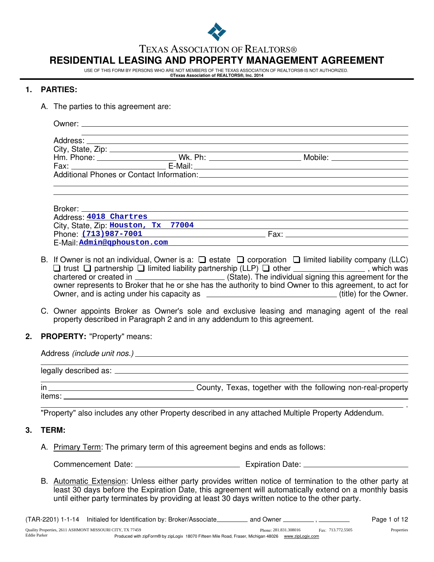

#### TEXAS ASSOCIATION OF REALTORS®

# **RESIDENTIAL LEASING AND PROPERTY MANAGEMENT AGREEMENT**

USE OF THIS FORM BY PERSONS WHO ARE NOT MEMBERS OF THE TEXAS ASSOCIATION OF REALTORS® IS NOT AUTHORIZED.

#### **©Texas Association of REALTORS®, Inc. 2014**

#### **1. PARTIES:**

A. The parties to this agreement are:

|  | Hm. Phone: ________________________Wk. Ph: _____________________________Mobile: ____________________<br>Additional Phones or Contact Information: Network and the Contract of the Contract of the Contract of the Contract of the Contract of the Contract of the Contract of the Contract of the Contract of the Contract of the Cont |
|--|----------------------------------------------------------------------------------------------------------------------------------------------------------------------------------------------------------------------------------------------------------------------------------------------------------------------------------------|

| Broker: when the state of the state of the state of the state of the state of the state of the state of the sta |      |  |
|-----------------------------------------------------------------------------------------------------------------|------|--|
| Address: 4018 Chartres                                                                                          |      |  |
| City, State, Zip: Houston, Tx 77004                                                                             |      |  |
| Phone: (713)987-7001                                                                                            | Fax: |  |
| E-Mail: Admin@qphouston.com                                                                                     |      |  |

- B. If Owner is not an individual, Owner is a:  $\Box$  estate  $\Box$  corporation  $\Box$  limited liability company (LLC) trust  $\Box$  partnership  $\Box$  limited liability partnership (LLP)  $\Box$  other  $\_\_\_\_\_\_\_\_\_\_\_\_\_\_\_$ , which was chartered or created in \_\_\_\_\_\_\_\_\_\_\_\_\_\_\_\_\_\_\_\_\_\_\_\_\_(State). The individual signing this agreement for the owner represents to Broker that he or she has the authority to bind Owner to this agreement, to act for Owner, and is acting under his capacity as  $\overline{a}$  (title) for the Owner.
- C. Owner appoints Broker as Owner's sole and exclusive leasing and managing agent of the real property described in Paragraph 2 and in any addendum to this agreement.
- **2. PROPERTY:** "Property" means:

items:

| in | County, Texas, together with the following non-real-property |
|----|--------------------------------------------------------------|

"Property" also includes any other Property described in any attached Multiple Property Addendum.

#### **3. TERM:**

A. Primary Term: The primary term of this agreement begins and ends as follows:

Commencement Date: Expiration Date:

B. Automatic Extension: Unless either party provides written notice of termination to the other party at least 30 days before the Expiration Date, this agreement will automatically extend on a monthly basis until either party terminates by providing at least 30 days written notice to the other party.

(TAR-2201) 1-1-14 Initialed for Identification by: Broker/Associate\_\_\_\_\_\_\_\_\_ and Owner \_\_\_\_\_\_\_\_\_\_ , \_\_\_\_\_\_\_\_\_\_ Page 1 of 12

.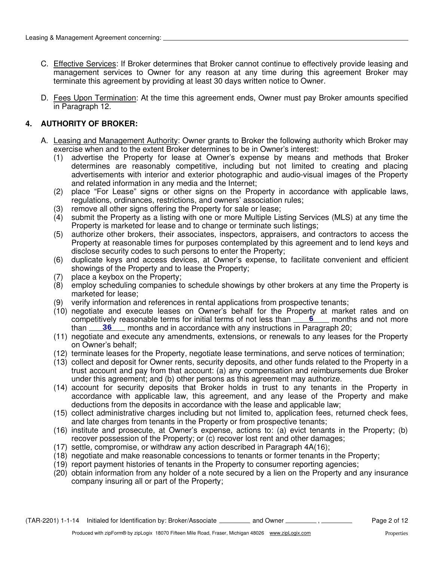- C. Effective Services: If Broker determines that Broker cannot continue to effectively provide leasing and management services to Owner for any reason at any time during this agreement Broker may terminate this agreement by providing at least 30 days written notice to Owner.
- D. Fees Upon Termination: At the time this agreement ends, Owner must pay Broker amounts specified in Paragraph 12.

# **4. AUTHORITY OF BROKER:**

- A. Leasing and Management Authority: Owner grants to Broker the following authority which Broker may exercise when and to the extent Broker determines to be in Owner's interest:
	- (1) advertise the Property for lease at Owner's expense by means and methods that Broker determines are reasonably competitive, including but not limited to creating and placing advertisements with interior and exterior photographic and audio-visual images of the Property and related information in any media and the Internet;
	- (2) place "For Lease" signs or other signs on the Property in accordance with applicable laws, regulations, ordinances, restrictions, and owners' association rules;
	- (3) remove all other signs offering the Property for sale or lease;
	- (4) submit the Property as a listing with one or more Multiple Listing Services (MLS) at any time the Property is marketed for lease and to change or terminate such listings;
	- (5) authorize other brokers, their associates, inspectors, appraisers, and contractors to access the Property at reasonable times for purposes contemplated by this agreement and to lend keys and disclose security codes to such persons to enter the Property;
	- (6) duplicate keys and access devices, at Owner's expense, to facilitate convenient and efficient showings of the Property and to lease the Property;
	- (7) place a keybox on the Property;
	- (8) employ scheduling companies to schedule showings by other brokers at any time the Property is marketed for lease;
	- (9) verify information and references in rental applications from prospective tenants;
	- (10) negotiate and execute leases on Owner's behalf for the Property at market rates and on competitively reasonable terms for initial terms of not less than **6** 6 months and not more than 36 months and in accordance with any instructions in Paragraph 20;
	- (11) negotiate and execute any amendments, extensions, or renewals to any leases for the Property on Owner's behalf;
	- (12) terminate leases for the Property, negotiate lease terminations, and serve notices of termination;
	- (13) collect and deposit for Owner rents, security deposits, and other funds related to the Property in a trust account and pay from that account: (a) any compensation and reimbursements due Broker under this agreement; and (b) other persons as this agreement may authorize.
	- (14) account for security deposits that Broker holds in trust to any tenants in the Property in accordance with applicable law, this agreement, and any lease of the Property and make deductions from the deposits in accordance with the lease and applicable law;
	- (15) collect administrative charges including but not limited to, application fees, returned check fees, and late charges from tenants in the Property or from prospective tenants;
	- (16) institute and prosecute, at Owner's expense, actions to: (a) evict tenants in the Property; (b) recover possession of the Property; or (c) recover lost rent and other damages;
	- (17) settle, compromise, or withdraw any action described in Paragraph 4A(16);
	- (18) negotiate and make reasonable concessions to tenants or former tenants in the Property;
	- (19) report payment histories of tenants in the Property to consumer reporting agencies;
	- (20) obtain information from any holder of a note secured by a lien on the Property and any insurance company insuring all or part of the Property;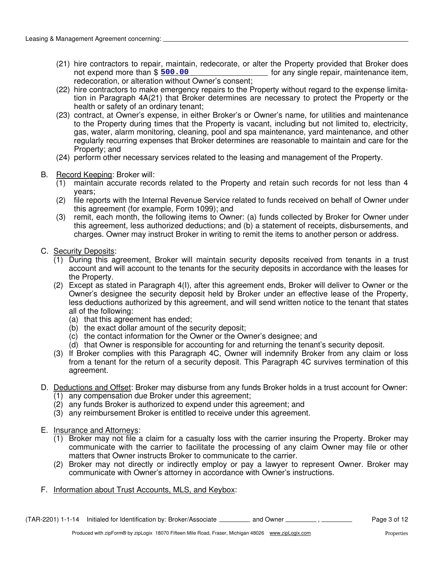- (21) hire contractors to repair, maintain, redecorate, or alter the Property provided that Broker does not for any single repair, maintenance item, redecoration, or alteration without Owner's consent; not expend more than \$ 500.00
- tion in Paragraph 4A(21) that Broker determines are necessary to protect the Property or the health or safety of an ordinary tenant; (22) hire contractors to make emergency repairs to the Property without regard to the expense limita-
- (23) contract, at Owner's expense, in either Broker's or Owner's name, for utilities and maintenance to the Property during times that the Property is vacant, including but not limited to, electricity, gas, water, alarm monitoring, cleaning, pool and spa maintenance, yard maintenance, and other regularly recurring expenses that Broker determines are reasonable to maintain and care for the Property; and
- (24) perform other necessary services related to the leasing and management of the Property.
- B. Record Keeping: Broker will:
	- (1) maintain accurate records related to the Property and retain such records for not less than 4 years;
	- (2) file reports with the Internal Revenue Service related to funds received on behalf of Owner under this agreement (for example, Form 1099); and
	- (3) remit, each month, the following items to Owner: (a) funds collected by Broker for Owner under this agreement, less authorized deductions; and (b) a statement of receipts, disbursements, and charges. Owner may instruct Broker in writing to remit the items to another person or address.
- C. Security Deposits:
	- (1) During this agreement, Broker will maintain security deposits received from tenants in a trust account and will account to the tenants for the security deposits in accordance with the leases for the Property.
	- (2) Except as stated in Paragraph 4(I), after this agreement ends, Broker will deliver to Owner or the Owner's designee the security deposit held by Broker under an effective lease of the Property, less deductions authorized by this agreement, and will send written notice to the tenant that states all of the following:
		- (a) that this agreement has ended;
		- (b) the exact dollar amount of the security deposit;
		- (c) the contact information for the Owner or the Owner's designee; and
		- (d) that Owner is responsible for accounting for and returning the tenant's security deposit.
	- (3) If Broker complies with this Paragraph 4C, Owner will indemnify Broker from any claim or loss from a tenant for the return of a security deposit. This Paragraph 4C survives termination of this agreement.
- D. Deductions and Offset: Broker may disburse from any funds Broker holds in a trust account for Owner:
	- (1) any compensation due Broker under this agreement;
	- (2) any funds Broker is authorized to expend under this agreement; and
	- (3) any reimbursement Broker is entitled to receive under this agreement.
- E. Insurance and Attorneys:
	- (1) Broker may not file a claim for a casualty loss with the carrier insuring the Property. Broker may communicate with the carrier to facilitate the processing of any claim Owner may file or other matters that Owner instructs Broker to communicate to the carrier.
	- (2) Broker may not directly or indirectly employ or pay a lawyer to represent Owner. Broker may communicate with Owner's attorney in accordance with Owner's instructions.
- F. Information about Trust Accounts, MLS, and Keybox: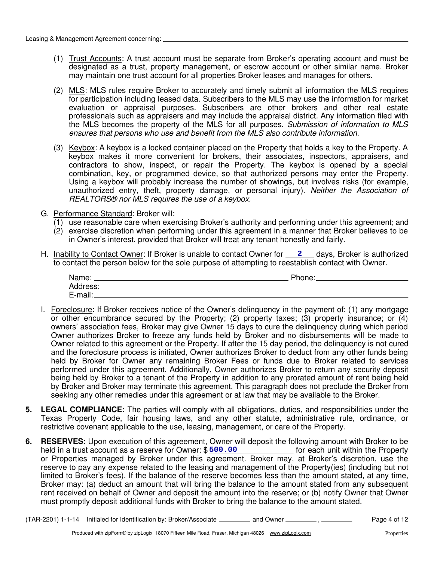- (1) Trust Accounts: A trust account must be separate from Broker's operating account and must be designated as a trust, property management, or escrow account or other similar name. Broker may maintain one trust account for all properties Broker leases and manages for others.
- (2) MLS: MLS rules require Broker to accurately and timely submit all information the MLS requires for participation including leased data. Subscribers to the MLS may use the information for market evaluation or appraisal purposes. Subscribers are other brokers and other real estate professionals such as appraisers and may include the appraisal district. Any information filed with the MLS becomes the property of the MLS for all purposes. Submission of information to MLS ensures that persons who use and benefit from the MLS also contribute information.
- (3) Keybox: A keybox is a locked container placed on the Property that holds a key to the Property. A keybox makes it more convenient for brokers, their associates, inspectors, appraisers, and contractors to show, inspect, or repair the Property. The keybox is opened by a special combination, key, or programmed device, so that authorized persons may enter the Property. Using a keybox will probably increase the number of showings, but involves risks (for example, unauthorized entry, theft, property damage, or personal injury). Neither the Association of REALTORS® nor MLS requires the use of a keybox.
- G. Performance Standard: Broker will:
	- $(1)$  use reasonable care when exercising Broker's authority and performing under this agreement; and
	- (2) exercise discretion when performing under this agreement in a manner that Broker believes to be in Owner's interest, provided that Broker will treat any tenant honestly and fairly.
- H. Inability to Contact Owner: If Broker is unable to contact Owner for **2** days, Broker is authorized to contact the person below for the sole purpose of attempting to reestablish contact with Owner.

| Name:    | Phone: |
|----------|--------|
| Address: |        |
| E-mail:  |        |

- I. Foreclosure: If Broker receives notice of the Owner's delinquency in the payment of: (1) any mortgage or other encumbrance secured by the Property; (2) property taxes; (3) property insurance; or (4) owners' association fees, Broker may give Owner 15 days to cure the delinquency during which period Owner authorizes Broker to freeze any funds held by Broker and no disbursements will be made to Owner related to this agreement or the Property. If after the 15 day period, the delinquency is not cured and the foreclosure process is initiated, Owner authorizes Broker to deduct from any other funds being held by Broker for Owner any remaining Broker Fees or funds due to Broker related to services performed under this agreement. Additionally, Owner authorizes Broker to return any security deposit being held by Broker to a tenant of the Property in addition to any prorated amount of rent being held by Broker and Broker may terminate this agreement. This paragraph does not preclude the Broker from seeking any other remedies under this agreement or at law that may be available to the Broker.
- **5. LEGAL COMPLIANCE:** The parties will comply with all obligations, duties, and responsibilities under the Texas Property Code, fair housing laws, and any other statute, administrative rule, ordinance, or restrictive covenant applicable to the use, leasing, management, or care of the Property.
- **6. RESERVES:** Upon execution of this agreement, Owner will deposit the following amount with Broker to be held in a trust account as a reserve for Owner: \$ 500.00 [10] [10] [10] [10] for each unit within the Property or Properties managed by Broker under this agreement. Broker may, at Broker's discretion, use the reserve to pay any expense related to the leasing and management of the Property(ies) (including but not limited to Broker's fees). If the balance of the reserve becomes less than the amount stated, at any time, Broker may: (a) deduct an amount that will bring the balance to the amount stated from any subsequent rent received on behalf of Owner and deposit the amount into the reserve; or (b) notify Owner that Owner must promptly deposit additional funds with Broker to bring the balance to the amount stated.

(TAR-2201) 1-1-14 Initialed for Identification by: Broker/Associate \_\_\_\_\_\_\_\_\_\_ and Owner \_\_\_\_\_\_\_\_\_\_, \_\_\_\_\_\_\_\_\_ Page 4 of 12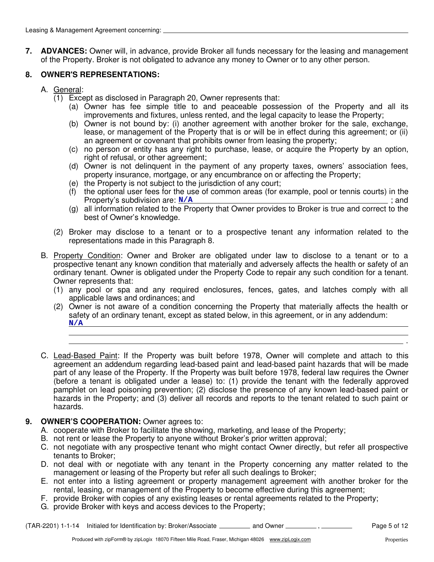**7. ADVANCES:** Owner will, in advance, provide Broker all funds necessary for the leasing and management of the Property. Broker is not obligated to advance any money to Owner or to any other person.

# **8. OWNER'S REPRESENTATIONS:**

- A. General:
	- (1) Except as disclosed in Paragraph 20, Owner represents that:
		- (a) Owner has fee simple title to and peaceable possession of the Property and all its improvements and fixtures, unless rented, and the legal capacity to lease the Property;
		- (b) Owner is not bound by: (i) another agreement with another broker for the sale, exchange, lease, or management of the Property that is or will be in effect during this agreement; or (ii) an agreement or covenant that prohibits owner from leasing the property;
		- (c) no person or entity has any right to purchase, lease, or acquire the Property by an option, right of refusal, or other agreement;
		- (d) Owner is not delinquent in the payment of any property taxes, owners' association fees, property insurance, mortgage, or any encumbrance on or affecting the Property;
		- (e) the Property is not subject to the jurisdiction of any court;
		- (f) the optional user fees for the use of common areas (for example, pool or tennis courts) in the Property's subdivision are:  $N/A$ Property's subdivision are:  $\frac{N/A}{A}$  ; and **N/A**
		- (g) all information related to the Property that Owner provides to Broker is true and correct to the best of Owner's knowledge.
	- (2) Broker may disclose to a tenant or to a prospective tenant any information related to the representations made in this Paragraph 8.
- B. Property Condition: Owner and Broker are obligated under law to disclose to a tenant or to a prospective tenant any known condition that materially and adversely affects the health or safety of an ordinary tenant. Owner is obligated under the Property Code to repair any such condition for a tenant. Owner represents that:
	- (1) any pool or spa and any required enclosures, fences, gates, and latches comply with all applicable laws and ordinances; and
	- (2) Owner is not aware of a condition concerning the Property that materially affects the health or safety of an ordinary tenant, except as stated below, in this agreement, or in any addendum: **N/A**
- C. Lead-Based Paint: If the Property was built before 1978, Owner will complete and attach to this agreement an addendum regarding lead-based paint and lead-based paint hazards that will be made part of any lease of the Property. If the Property was built before 1978, federal law requires the Owner (before a tenant is obligated under a lease) to: (1) provide the tenant with the federally approved pamphlet on lead poisoning prevention; (2) disclose the presence of any known lead-based paint or hazards in the Property; and (3) deliver all records and reports to the tenant related to such paint or hazards.

#### **9. OWNER'S COOPERATION:** Owner agrees to:

- A. cooperate with Broker to facilitate the showing, marketing, and lease of the Property;
- B. not rent or lease the Property to anyone without Broker's prior written approval;
- C. not negotiate with any prospective tenant who might contact Owner directly, but refer all prospective tenants to Broker;
- D. not deal with or negotiate with any tenant in the Property concerning any matter related to the management or leasing of the Property but refer all such dealings to Broker;
- E. not enter into a listing agreement or property management agreement with another broker for the rental, leasing, or management of the Property to become effective during this agreement;
- F. provide Broker with copies of any existing leases or rental agreements related to the Property;
- G. provide Broker with keys and access devices to the Property;

(TAR-2201) 1-1-14 Initialed for Identification by: Broker/Associate \_\_\_\_\_\_\_\_\_\_ and Owner \_\_\_\_\_\_\_\_\_\_, \_\_\_\_\_\_\_\_\_ Page 5 of 12

.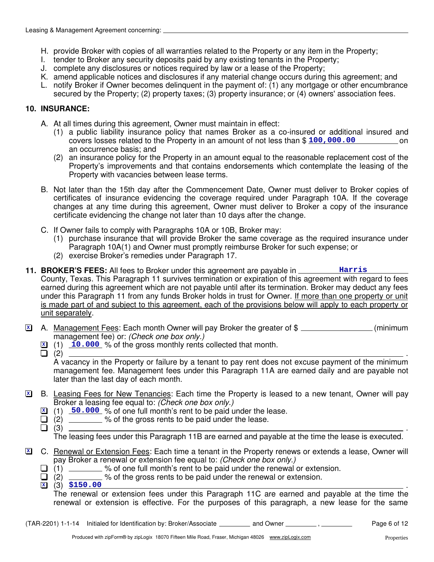- H. provide Broker with copies of all warranties related to the Property or any item in the Property;
- I. tender to Broker any security deposits paid by any existing tenants in the Property;
- J. complete any disclosures or notices required by law or a lease of the Property;
- K. amend applicable notices and disclosures if any material change occurs during this agreement; and
- L. notify Broker if Owner becomes delinquent in the payment of: (1) any mortgage or other encumbrance secured by the Property; (2) property taxes; (3) property insurance; or (4) owners' association fees.

## **10. INSURANCE:**

- A. At all times during this agreement, Owner must maintain in effect:
	- (1) a public liability insurance policy that names Broker as a co-insured or additional insured and covers losses related to the Property in an amount of not less than \$ on **100,000.00** an occurrence basis; and
	- (2) an insurance policy for the Property in an amount equal to the reasonable replacement cost of the Property's improvements and that contains endorsements which contemplate the leasing of the Property with vacancies between lease terms.
- B. Not later than the 15th day after the Commencement Date, Owner must deliver to Broker copies of certificates of insurance evidencing the coverage required under Paragraph 10A. If the coverage changes at any time during this agreement, Owner must deliver to Broker a copy of the insurance certificate evidencing the change not later than 10 days after the change.
- C. If Owner fails to comply with Paragraphs 10A or 10B, Broker may:
	- (1) purchase insurance that will provide Broker the same coverage as the required insurance under Paragraph 10A(1) and Owner must promptly reimburse Broker for such expense; or
	- (2) exercise Broker's remedies under Paragraph 17.
- **11. BROKER'S FEES:** All fees to Broker under this agreement are payable in \_\_\_\_\_\_\_\_\_ Harris County, Texas. This Paragraph 11 survives termination or expiration of this agreement with regard to fees earned during this agreement which are not payable until after its termination. Broker may deduct any fees under this Paragraph 11 from any funds Broker holds in trust for Owner. If more than one property or unit is made part of and subject to this agreement, each of the provisions below will apply to each property or unit separately.
- A. Management Fees: Each month Owner will pay Broker the greater of \$ management fee) or: (Check one box only.) **X**
	- **X** (1) **10.000** % of the gross monthly rents collected that month.
	-

(2) . A vacancy in the Property or failure by a tenant to pay rent does not excuse payment of the minimum management fee. Management fees under this Paragraph 11A are earned daily and are payable not later than the last day of each month.

- B. Leasing Fees for New Tenancies: Each time the Property is leased to a new tenant, Owner will pay Broker a leasing fee equal to: (Check one box only.) **X**
	- **X** (1) 50.000 % of one full month's rent to be paid under the lease.
	- $\Box$  (2) \_\_\_\_\_\_\_ % of the gross rents to be paid under the lease.
	- (3) .

The leasing fees under this Paragraph 11B are earned and payable at the time the lease is executed.

- C. Renewal or Extension Fees: Each time a tenant in the Property renews or extends a lease, Owner will pay Broker a renewal or extension fee equal to: (Check one box only.) **X**
	- (1) \_\_\_\_\_\_\_\_ % of one full month's rent to be paid under the renewal or extension.
	- (2) \_\_\_\_\_\_\_\_\_ % of the gross rents to be paid under the renewal or extension.
	- (3) . **<sup>X</sup> \$150.00**

The renewal or extension fees under this Paragraph 11C are earned and payable at the time the renewal or extension is effective. For the purposes of this paragraph, a new lease for the same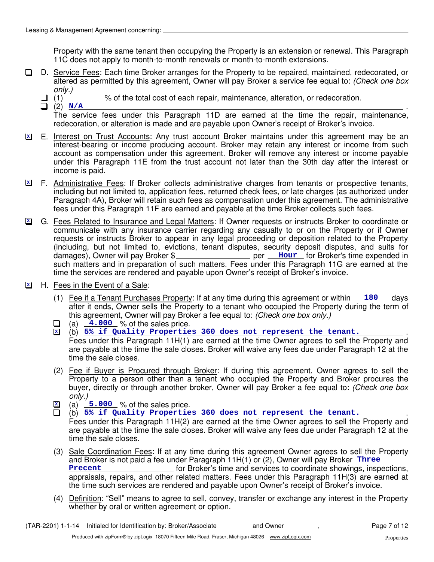Property with the same tenant then occupying the Property is an extension or renewal. This Paragraph 11C does not apply to month-to-month renewals or month-to-month extensions.

- D. Service Fees: Each time Broker arranges for the Property to be repaired, maintained, redecorated, or  $\Box$ altered as permitted by this agreement, Owner will pay Broker a service fee equal to: (Check one box only.)
	- $\Box$  (1)  $\Box$  % of the total cost of each repair, maintenance, alteration, or redecoration.
	- $(2)$   $N/A$ The service fees under this Paragraph 11D are earned at the time the repair, maintenance, redecoration, or alteration is made and are payable upon Owner's receipt of Broker's invoice.  $\Box$  (2)  $N/A$
- E. Interest on Trust Accounts: Any trust account Broker maintains under this agreement may be an interest-bearing or income producing account. Broker may retain any interest or income from such account as compensation under this agreement. Broker will remove any interest or income payable under this Paragraph 11E from the trust account not later than the 30th day after the interest or income is paid. **X**
- **X** F. Administrative Fees: If Broker collects administrative charges from tenants or prospective tenants, including but not limited to, application fees, returned check fees, or late charges (as authorized under Paragraph 4A), Broker will retain such fees as compensation under this agreement. The administrative fees under this Paragraph 11F are earned and payable at the time Broker collects such fees.
- G. Fees Related to Insurance and Legal Matters: If Owner requests or instructs Broker to coordinate or **X** communicate with any insurance carrier regarding any casualty to or on the Property or if Owner requests or instructs Broker to appear in any legal proceeding or deposition related to the Property (including, but not limited to, evictions, tenant disputes, security deposit disputes, and suits for damages), Owner will pay Broker \$**\_\_\_\_\_\_\_\_\_\_\_\_\_\_\_\_\_\_** per **\_\_\_Hour** for Broker's time expended in such matters and in preparation of such matters. Fees under this Paragraph 11G are earned at the time the services are rendered and payable upon Owner's receipt of Broker's invoice.
- H. Fees in the Event of a Sale: **X**
	- (1) Fee if a Tenant Purchases Property: If at any time during this agreement or within 180 days after it ends, Owner sells the Property to a tenant who occupied the Property during the term of this agreement, Owner will pay Broker a fee equal to: (Check one box only.)
	- (a)  $\frac{4.000}{ }$  % of the sales price.
	- (b) . **<sup>X</sup> 5% if Quality Properties 360 does not represent the tenant.** Fees under this Paragraph 11H(1) are earned at the time Owner agrees to sell the Property and are payable at the time the sale closes. Broker will waive any fees due under Paragraph 12 at the time the sale closes.
	- (2) Fee if Buyer is Procured through Broker: If during this agreement, Owner agrees to sell the Property to a person other than a tenant who occupied the Property and Broker procures the buyer, directly or through another broker. Owner will pay Broker a fee equal to: *(Check one box* only.)
	- $\overline{\mathbf{x}}$  (a)  $\overline{\mathbf{5.000}}$  % of the sales price.
	- (b)  $5\frac{8}{5}$  if Quality Properties 360 does not represent the tenant. Fees under this Paragraph 11H(2) are earned at the time Owner agrees to sell the Property and
	- are payable at the time the sale closes. Broker will waive any fees due under Paragraph 12 at the time the sale closes.
	- (3) Sale Coordination Fees: If at any time during this agreement Owner agrees to sell the Property and Broker is not paid a fee under Paragraph 11H(1) or (2), Owner will pay Broker **Three Precent Example 20** for Broker's time and services to coordinate showings, inspections, appraisals, repairs, and other related matters. Fees under this Paragraph 11H(3) are earned at the time such services are rendered and payable upon Owner's receipt of Broker's invoice.
	- (4) Definition: "Sell" means to agree to sell, convey, transfer or exchange any interest in the Property whether by oral or written agreement or option.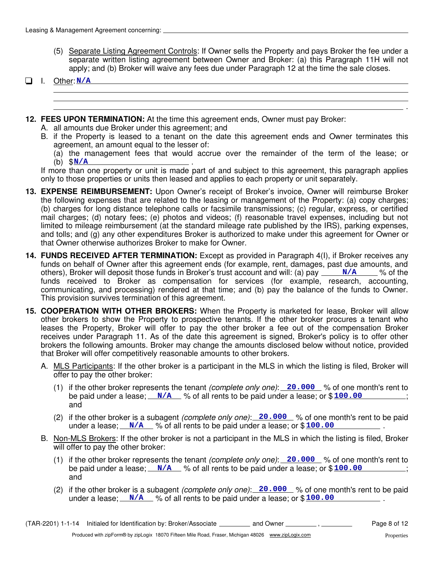(5) Separate Listing Agreement Controls: If Owner sells the Property and pays Broker the fee under a separate written listing agreement between Owner and Broker: (a) this Paragraph 11H will not apply; and (b) Broker will waive any fees due under Paragraph 12 at the time the sale closes.

#### I. Other: **N/A**

- **12. FEES UPON TERMINATION:** At the time this agreement ends, Owner must pay Broker:
	- A. all amounts due Broker under this agreement; and
	- B. if the Property is leased to a tenant on the date this agreement ends and Owner terminates this agreement, an amount equal to the lesser of:

(a) the management fees that would accrue over the remainder of the term of the lease; or (b)  $\frac{\$N/A}{}$  .

If more than one property or unit is made part of and subject to this agreement, this paragraph applies only to those properties or units then leased and applies to each property or unit separately.

- **13. EXPENSE REIMBURSEMENT:** Upon Owner's receipt of Broker's invoice, Owner will reimburse Broker the following expenses that are related to the leasing or management of the Property: (a) copy charges; (b) charges for long distance telephone calls or facsimile transmissions; (c) regular, express, or certified mail charges; (d) notary fees; (e) photos and videos; (f) reasonable travel expenses, including but not limited to mileage reimbursement (at the standard mileage rate published by the IRS), parking expenses, and tolls; and (g) any other expenditures Broker is authorized to make under this agreement for Owner or that Owner otherwise authorizes Broker to make for Owner.
- others), Broker will deposit those funds in Broker's trust account and will: (a) pay <u>MANCC</u>% of the **14. FUNDS RECEIVED AFTER TERMINATION:** Except as provided in Paragraph 4(I), if Broker receives any funds on behalf of Owner after this agreement ends (for example, rent, damages, past due amounts, and funds received to Broker as compensation for services (for example, research, accounting, communicating, and processing) rendered at that time; and (b) pay the balance of the funds to Owner. This provision survives termination of this agreement.
- **15. COOPERATION WITH OTHER BROKERS:** When the Property is marketed for lease, Broker will allow other brokers to show the Property to prospective tenants. If the other broker procures a tenant who leases the Property, Broker will offer to pay the other broker a fee out of the compensation Broker receives under Paragraph 11. As of the date this agreement is signed, Broker's policy is to offer other brokers the following amounts. Broker may change the amounts disclosed below without notice, provided that Broker will offer competitively reasonable amounts to other brokers.
	- A. MLS Participants: If the other broker is a participant in the MLS in which the listing is filed, Broker will offer to pay the other broker:
		- (1) if the other broker represents the tenant *(complete only one)*: 20.000 % of one month's rent to be paid under a lease; <u>N/A</u> % of all rents to be paid under a lease; or \$100.00 (30); and
		- (2) if the other broker is a subagent (complete only one): 20.000 % of one month's rent to be paid under a lease;  $\sqrt{N/A}$  % of all rents to be paid under a lease; or  $$100.00$
	- B. Non-MLS Brokers: If the other broker is not a participant in the MLS in which the listing is filed, Broker will offer to pay the other broker:
		- (1) if the other broker represents the tenant *(complete only one)*: 20.000 % of one month's rent to be paid under a lease; <u>N/A</u> % of all rents to be paid under a lease; or \$100.00 (30); and
		- (2) if the other broker is a subagent (complete only one): 20.000 % of one month's rent to be paid under a lease;  $\sqrt{N/A}$  % of all rents to be paid under a lease; or  $$100.00$

.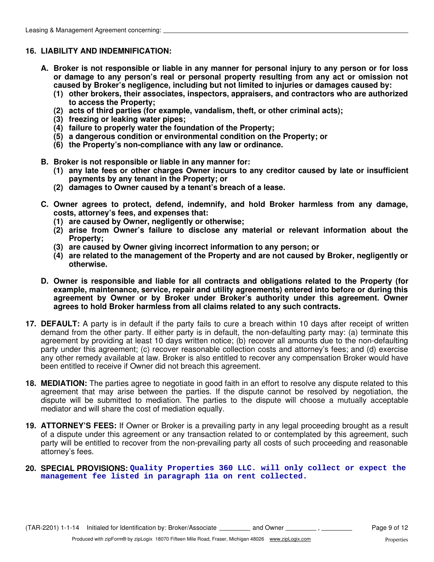#### **16. LIABILITY AND INDEMNIFICATION:**

- **A. Broker is not responsible or liable in any manner for personal injury to any person or for loss or damage to any person's real or personal property resulting from any act or omission not caused by Broker's negligence, including but not limited to injuries or damages caused by:**
	- **(1) other brokers, their associates, inspectors, appraisers, and contractors who are authorized to access the Property;**
	- **(2) acts of third parties (for example, vandalism, theft, or other criminal acts);**
	- **(3) freezing or leaking water pipes;**
	- **(4) failure to properly water the foundation of the Property;**
	- **(5) a dangerous condition or environmental condition on the Property; or**
	- **(6) the Property's non-compliance with any law or ordinance.**
- **B. Broker is not responsible or liable in any manner for:**
	- **(1) any late fees or other charges Owner incurs to any creditor caused by late or insufficient payments by any tenant in the Property; or**
	- **(2) damages to Owner caused by a tenant's breach of a lease.**
- **C. Owner agrees to protect, defend, indemnify, and hold Broker harmless from any damage, costs, attorney's fees, and expenses that:**
	- **(1) are caused by Owner, negligently or otherwise;**
	- **(2) arise from Owner's failure to disclose any material or relevant information about the Property;**
	- **(3) are caused by Owner giving incorrect information to any person; or**
	- **(4) are related to the management of the Property and are not caused by Broker, negligently or otherwise.**
- **D. Owner is responsible and liable for all contracts and obligations related to the Property (for example, maintenance, service, repair and utility agreements) entered into before or during this agreement by Owner or by Broker under Broker's authority under this agreement. Owner agrees to hold Broker harmless from all claims related to any such contracts.**
- **17. DEFAULT:** A party is in default if the party fails to cure a breach within 10 days after receipt of written demand from the other party. If either party is in default, the non-defaulting party may: (a) terminate this agreement by providing at least 10 days written notice; (b) recover all amounts due to the non-defaulting party under this agreement; (c) recover reasonable collection costs and attorney's fees; and (d) exercise any other remedy available at law. Broker is also entitled to recover any compensation Broker would have been entitled to receive if Owner did not breach this agreement.
- **18. MEDIATION:** The parties agree to negotiate in good faith in an effort to resolve any dispute related to this agreement that may arise between the parties. If the dispute cannot be resolved by negotiation, the dispute will be submitted to mediation. The parties to the dispute will choose a mutually acceptable mediator and will share the cost of mediation equally.
- **19. ATTORNEY'S FEES:** If Owner or Broker is a prevailing party in any legal proceeding brought as a result of a dispute under this agreement or any transaction related to or contemplated by this agreement, such party will be entitled to recover from the non-prevailing party all costs of such proceeding and reasonable attorney's fees.
- **20. SPECIAL PROVISIONS: Quality Properties 360 LLC. will only collect or expect the management fee listed in paragraph 11a on rent collected.**

(TAR-2201) 1-1-14 Initialed for Identification by: Broker/Associate \_\_\_\_\_\_\_\_\_ and Owner  $\frac{1}{\sqrt{2}}$ ,  $\frac{1}{\sqrt{2}}$  Page 9 of 12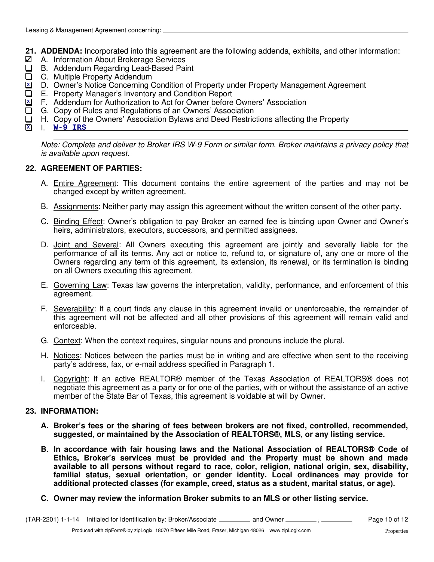- **21. ADDENDA:** Incorporated into this agreement are the following addenda, exhibits, and other information:
- $\boxtimes$  A. Information About Brokerage Services
- B. Addendum Regarding Lead-Based Paint
- □ C. Multiple Property Addendum
- D. Owner's Notice Concerning Condition of Property under Property Management Agreement **X**
- E. Property Manager's Inventory and Condition Report  $\Box$
- F. Addendum for Authorization to Act for Owner before Owners' Association **X**
- G. Copy of Rules and Regulations of an Owners' Association  $\Box$
- H. Copy of the Owners' Association Bylaws and Deed Restrictions affecting the Property  $\Box$
- I. **<sup>X</sup> W-9 IRS**

Note: Complete and deliver to Broker IRS W-9 Form or similar form. Broker maintains a privacy policy that is available upon request.

#### **22. AGREEMENT OF PARTIES:**

- A. **Entire Agreement**: This document contains the entire agreement of the parties and may not be changed except by written agreement.
- B. Assignments: Neither party may assign this agreement without the written consent of the other party.
- C. Binding Effect: Owner's obligation to pay Broker an earned fee is binding upon Owner and Owner's heirs, administrators, executors, successors, and permitted assignees.
- D. Joint and Several: All Owners executing this agreement are jointly and severally liable for the performance of all its terms. Any act or notice to, refund to, or signature of, any one or more of the Owners regarding any term of this agreement, its extension, its renewal, or its termination is binding on all Owners executing this agreement.
- E. Governing Law: Texas law governs the interpretation, validity, performance, and enforcement of this agreement.
- F. Severability: If a court finds any clause in this agreement invalid or unenforceable, the remainder of this agreement will not be affected and all other provisions of this agreement will remain valid and enforceable.
- G. Context: When the context requires, singular nouns and pronouns include the plural.
- H. Notices: Notices between the parties must be in writing and are effective when sent to the receiving party's address, fax, or e-mail address specified in Paragraph 1.
- I. Copyright: If an active REALTOR® member of the Texas Association of REALTORS® does not negotiate this agreement as a party or for one of the parties, with or without the assistance of an active member of the State Bar of Texas, this agreement is voidable at will by Owner.

#### **23. INFORMATION:**

- **A. Broker's fees or the sharing of fees between brokers are not fixed, controlled, recommended, suggested, or maintained by the Association of REALTORS®, MLS, or any listing service.**
- **B. In accordance with fair housing laws and the National Association of REALTORS® Code of Ethics, Broker's services must be provided and the Property must be shown and made available to all persons without regard to race, color, religion, national origin, sex, disability, familial status, sexual orientation, or gender identity. Local ordinances may provide for additional protected classes (for example, creed, status as a student, marital status, or age).**
- **C. Owner may review the information Broker submits to an MLS or other listing service.**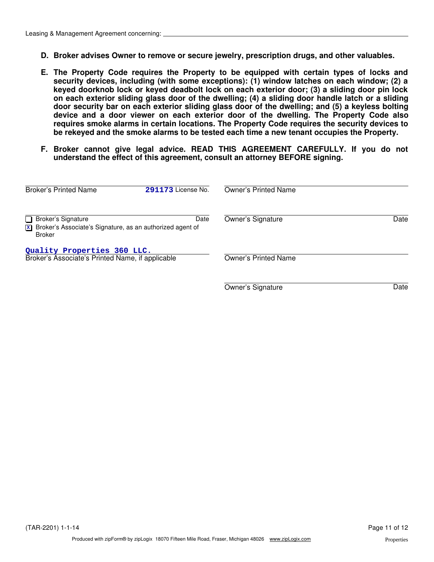- **D. Broker advises Owner to remove or secure jewelry, prescription drugs, and other valuables.**
- **E. The Property Code requires the Property to be equipped with certain types of locks and security devices, including (with some exceptions): (1) window latches on each window; (2) a keyed doorknob lock or keyed deadbolt lock on each exterior door; (3) a sliding door pin lock on each exterior sliding glass door of the dwelling; (4) a sliding door handle latch or a sliding door security bar on each exterior sliding glass door of the dwelling; and (5) a keyless bolting device and a door viewer on each exterior door of the dwelling. The Property Code also requires smoke alarms in certain locations. The Property Code requires the security devices to be rekeyed and the smoke alarms to be tested each time a new tenant occupies the Property.**
- **F. Broker cannot give legal advice. READ THIS AGREEMENT CAREFULLY. If you do not understand the effect of this agreement, consult an attorney BEFORE signing.**

| <b>Broker's Printed Name</b>                                                                                                        | 291173 License No. | <b>Owner's Printed Name</b> |      |
|-------------------------------------------------------------------------------------------------------------------------------------|--------------------|-----------------------------|------|
| <b>Broker's Signature</b><br>l 1<br>$\boxed{\mathbf{x}}$ Broker's Associate's Signature, as an authorized agent of<br><b>Broker</b> | Date               | Owner's Signature           | Date |
| Quality Properties 360 LLC.<br>Broker's Associate's Printed Name, if applicable                                                     |                    | <b>Owner's Printed Name</b> |      |
|                                                                                                                                     |                    | Owner's Signature           | Date |